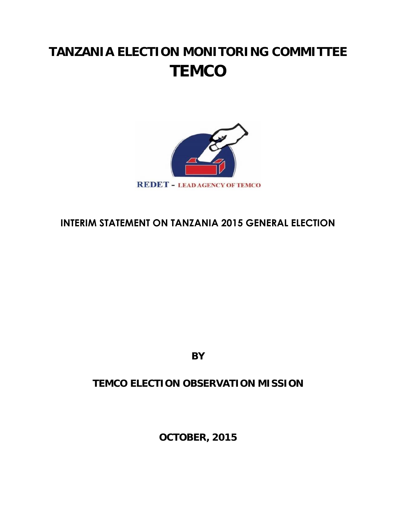# **TANZANIA ELECTION MONITORING COMMITTEE TEMCO**



# **INTERIM STATEMENT ON TANZANIA 2015 GENERAL ELECTION**

**BY**

# **TEMCO ELECTION OBSERVATION MISSION**

**OCTOBER, 2015**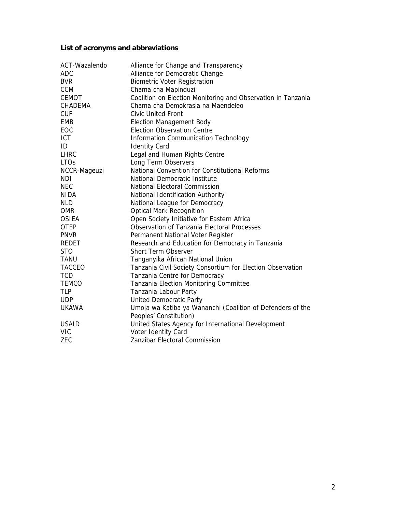**List of acronyms and abbreviations**

| ACT-Wazalendo | Alliance for Change and Transparency                         |
|---------------|--------------------------------------------------------------|
| <b>ADC</b>    | Alliance for Democratic Change                               |
| <b>BVR</b>    | <b>Biometric Voter Registration</b>                          |
| <b>CCM</b>    | Chama cha Mapinduzi                                          |
| <b>CEMOT</b>  | Coalition on Election Monitoring and Observation in Tanzania |
| CHADEMA       | Chama cha Demokrasia na Maendeleo                            |
| <b>CUF</b>    | <b>Civic United Front</b>                                    |
| <b>EMB</b>    | <b>Election Management Body</b>                              |
| EOC           | <b>Election Observation Centre</b>                           |
| <b>ICT</b>    | Information Communication Technology                         |
| ID            | <b>Identity Card</b>                                         |
| <b>LHRC</b>   | Legal and Human Rights Centre                                |
| <b>LTOs</b>   | Long Term Observers                                          |
| NCCR-Mageuzi  | National Convention for Constitutional Reforms               |
| <b>NDI</b>    | National Democratic Institute                                |
| <b>NEC</b>    | National Electoral Commission                                |
| <b>NIDA</b>   | National Identification Authority                            |
| <b>NLD</b>    | National League for Democracy                                |
| <b>OMR</b>    | <b>Optical Mark Recognition</b>                              |
| <b>OSIEA</b>  | Open Society Initiative for Eastern Africa                   |
| <b>OTEP</b>   | <b>Observation of Tanzania Electoral Processes</b>           |
| <b>PNVR</b>   | Permanent National Voter Register                            |
| <b>REDET</b>  | Research and Education for Democracy in Tanzania             |
| <b>STO</b>    | <b>Short Term Observer</b>                                   |
| TANU          | Tanganyika African National Union                            |
| <b>TACCEO</b> | Tanzania Civil Society Consortium for Election Observation   |
| <b>TCD</b>    | Tanzania Centre for Democracy                                |
| <b>TEMCO</b>  | Tanzania Election Monitoring Committee                       |
| <b>TLP</b>    | Tanzania Labour Party                                        |
| <b>UDP</b>    | <b>United Democratic Party</b>                               |
| <b>UKAWA</b>  | Umoja wa Katiba ya Wananchi (Coalition of Defenders of the   |
|               | Peoples' Constitution)                                       |
| <b>USAID</b>  | United States Agency for International Development           |
| <b>VIC</b>    | Voter Identity Card                                          |
| ZEC           | Zanzibar Electoral Commission                                |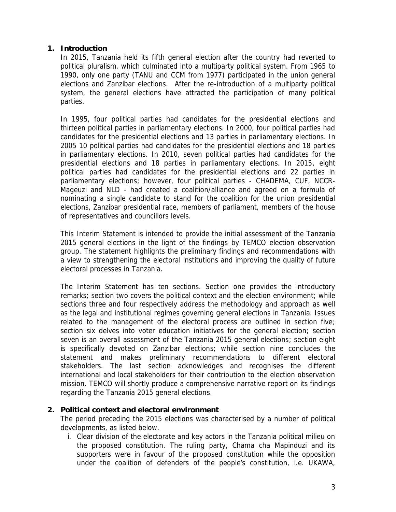## **1. Introduction**

In 2015, Tanzania held its fifth general election after the country had reverted to political pluralism, which culminated into a multiparty political system. From 1965 to 1990, only one party (TANU and CCM from 1977) participated in the union general elections and Zanzibar elections. After the re-introduction of a multiparty political system, the general elections have attracted the participation of many political parties.

In 1995, four political parties had candidates for the presidential elections and thirteen political parties in parliamentary elections. In 2000, four political parties had candidates for the presidential elections and 13 parties in parliamentary elections. In 2005 10 political parties had candidates for the presidential elections and 18 parties in parliamentary elections. In 2010, seven political parties had candidates for the presidential elections and 18 parties in parliamentary elections. In 2015, eight political parties had candidates for the presidential elections and 22 parties in parliamentary elections; however, four political parties - CHADEMA, CUF, NCCR- Mageuzi and NLD - had created a coalition/alliance and agreed on a formula of nominating a single candidate to stand for the coalition for the union presidential elections, Zanzibar presidential race, members of parliament, members of the house of representatives and councillors levels.

This Interim Statement is intended to provide the initial assessment of the Tanzania 2015 general elections in the light of the findings by TEMCO election observation group. The statement highlights the preliminary findings and recommendations with a view to strengthening the electoral institutions and improving the quality of future electoral processes in Tanzania.

The Interim Statement has ten sections. Section one provides the introductory remarks; section two covers the political context and the election environment; while sections three and four respectively address the methodology and approach as well as the legal and institutional regimes governing general elections in Tanzania. Issues related to the management of the electoral process are outlined in section five; section six delves into voter education initiatives for the general election; section seven is an overall assessment of the Tanzania 2015 general elections; section eight is specifically devoted on Zanzibar elections; while section nine concludes the statement and makes preliminary recommendations to different electoral stakeholders. The last section acknowledges and recognises the different international and local stakeholders for their contribution to the election observation mission. TEMCO will shortly produce a comprehensive narrative report on its findings regarding the Tanzania 2015 general elections.

- **2. Political context and electoral environment** The period preceding the 2015 elections was characterised by a number of political developments, as listed below.
	- i. Clear division of the electorate and key actors in the Tanzania political milieu on the proposed constitution. The ruling party, Chama cha Mapinduzi and its supporters were in favour of the proposed constitution while the opposition under the coalition of defenders of the people's constitution, i.e. UKAWA,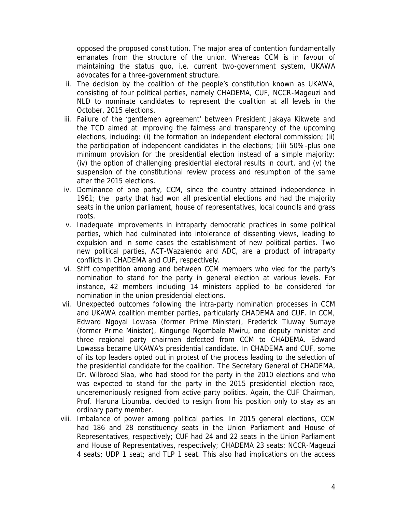opposed the proposed constitution. The major area of contention fundamentally emanates from the structure of the union. Whereas CCM is in favour of maintaining the status quo, i.e. current two-government system, UKAWA advocates for a three-government structure.

- ii. The decision by the coalition of the people's constitution known as UKAWA, consisting of four political parties, namely CHADEMA, CUF, NCCR-Mageuzi and NLD to nominate candidates to represent the coalition at all levels in the October, 2015 elections.
- iii. Failure of the 'gentlemen agreement' between President Jakaya Kikwete and the TCD aimed at improving the fairness and transparency of the upcoming elections, including: (i) the formation an independent electoral commission; (ii) the participation of independent candidates in the elections; (iii) 50%-plus one minimum provision for the presidential election instead of a simple majority; (iv) the option of challenging presidential electoral results in court, and (v) the suspension of the constitutional review process and resumption of the same after the 2015 elections.
- iv. Dominance of one party, CCM, since the country attained independence in 1961; the party that had won all presidential elections and had the majority seats in the union parliament, house of representatives, local councils and grass roots.
- v. Inadequate improvements in intraparty democratic practices in some political parties, which had culminated into intolerance of dissenting views, leading to expulsion and in some cases the establishment of new political parties. Two new political parties, ACT-Wazalendo and ADC, are a product of intraparty conflicts in CHADEMA and CUF, respectively.
- vi. Stiff competition among and between CCM members who vied for the party's nomination to stand for the party in general election at various levels. For instance, 42 members including 14 ministers applied to be considered for nomination in the union presidential elections.
- vii. Unexpected outcomes following the intra-party nomination processes in CCM and UKAWA coalition member parties, particularly CHADEMA and CUF. In CCM, Edward Ngoyai Lowasa (former Prime Minister), Frederick Tluway Sumaye (former Prime Minister), Kingunge Ngombale Mwiru, one deputy minister and three regional party chairmen defected from CCM to CHADEMA. Edward Lowassa became UKAWA's presidential candidate. In CHADEMA and CUF, some of its top leaders opted out in protest of the process leading to the selection of the presidential candidate for the coalition. The Secretary General of CHADEMA, Dr. Wilbroad Slaa, who had stood for the party in the 2010 elections and who was expected to stand for the party in the 2015 presidential election race, unceremoniously resigned from active party politics. Again, the CUF Chairman, Prof. Haruna Lipumba, decided to resign from his position only to stay as an ordinary party member.
- viii. Imbalance of power among political parties. In 2015 general elections, CCM had 186 and 28 constituency seats in the Union Parliament and House of Representatives, respectively; CUF had 24 and 22 seats in the Union Parliament and House of Representatives, respectively; CHADEMA 23 seats; NCCR-Mageuzi 4 seats; UDP 1 seat; and TLP 1 seat. This also had implications on the access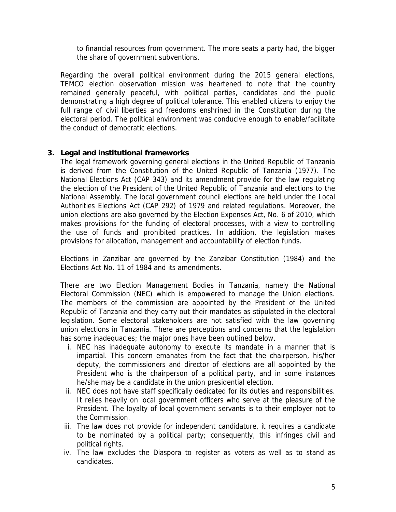to financial resources from government. The more seats a party had, the bigger the share of government subventions.

Regarding the overall political environment during the 2015 general elections, TEMCO election observation mission was heartened to note that the country remained generally peaceful, with political parties, candidates and the public demonstrating a high degree of political tolerance. This enabled citizens to enjoy the full range of civil liberties and freedoms enshrined in the Constitution during the electoral period. The political environment was conducive enough to enable/facilitate the conduct of democratic elections.

# **3. Legal and institutional frameworks**

The legal framework governing general elections in the United Republic of Tanzania is derived from the Constitution of the United Republic of Tanzania (1977). The National Elections Act (CAP 343) and its amendment provide for the law regulating the election of the President of the United Republic of Tanzania and elections to the National Assembly. The local government council elections are held under the Local Authorities Elections Act (CAP 292) of 1979 and related regulations. Moreover, the union elections are also governed by the Election Expenses Act, No. 6 of 2010, which makes provisions for the funding of electoral processes, with a view to controlling the use of funds and prohibited practices. In addition, the legislation makes provisions for allocation, management and accountability of election funds.

Elections in Zanzibar are governed by the Zanzibar Constitution (1984) and the Elections Act No. 11 of 1984 and its amendments.

There are two Election Management Bodies in Tanzania, namely the National Electoral Commission (NEC) which is empowered to manage the Union elections. The members of the commission are appointed by the President of the United Republic of Tanzania and they carry out their mandates as stipulated in the electoral legislation. Some electoral stakeholders are not satisfied with the law governing union elections in Tanzania. There are perceptions and concerns that the legislation has some inadequacies; the major ones have been outlined below.

- i. NEC has inadequate autonomy to execute its mandate in a manner that is impartial. This concern emanates from the fact that the chairperson, his/her deputy, the commissioners and director of elections are all appointed by the President who is the chairperson of a political party, and in some instances he/she may be a candidate in the union presidential election.
- ii. NEC does not have staff specifically dedicated for its duties and responsibilities. It relies heavily on local government officers who serve at the pleasure of the President. The loyalty of local government servants is to their employer not to the Commission.
- iii. The law does not provide for independent candidature, it requires a candidate to be nominated by a political party; consequently, this infringes civil and political rights.
- iv. The law excludes the Diaspora to register as voters as well as to stand as candidates.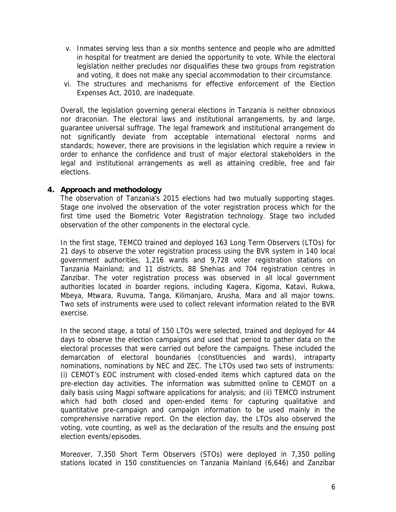- v. Inmates serving less than a six months sentence and people who are admitted in hospital for treatment are denied the opportunity to vote. While the electoral legislation neither precludes nor disqualifies these two groups from registration and voting, it does not make any special accommodation to their circumstance.
- vi. The structures and mechanisms for effective enforcement of the Election Expenses Act, 2010, are inadequate.

Overall, the legislation governing general elections in Tanzania is neither obnoxious nor draconian. The electoral laws and institutional arrangements, by and large, guarantee universal suffrage. The legal framework and institutional arrangement do not significantly deviate from acceptable international electoral norms and standards; however, there are provisions in the legislation which require a review in order to enhance the confidence and trust of major electoral stakeholders in the legal and institutional arrangements as well as attaining credible, free and fair elections.

**4. Approach and methodology**

The observation of Tanzania's 2015 elections had two mutually supporting stages. Stage one involved the observation of the voter registration process which for the first time used the Biometric Voter Registration technology. Stage two included observation of the other components in the electoral cycle.

In the first stage, TEMCO trained and deployed 163 Long Term Observers (LTOs) for 21 days to observe the voter registration process using the BVR system in 140 local government authorities, 1,216 wards and 9,728 voter registration stations on Tanzania Mainland; and 11 districts, 88 Shehias and 704 registration centres in Zanzibar. The voter registration process was observed in all local government authorities located in boarder regions, including Kagera, Kigoma, Katavi, Rukwa, Mbeya, Mtwara, Ruvuma, Tanga, Kilimanjaro, Arusha, Mara and all major towns. Two sets of instruments were used to collect relevant information related to the BVR exercise.

In the second stage, a total of 150 LTOs were selected, trained and deployed for 44 days to observe the election campaigns and used that period to gather data on the electoral processes that were carried out before the campaigns. These included the demarcation of electoral boundaries (constituencies and wards), intraparty nominations, nominations by NEC and ZEC. The LTOs used two sets of instruments: (i) CEMOT's EOC instrument with closed-ended items which captured data on the pre-election day activities. The information was submitted online to CEMOT on a daily basis using *Magpi* software applications for analysis; and (ii) TEMCO instrument which had both closed and open-ended items for capturing qualitative and quantitative pre-campaign and campaign information to be used mainly in the comprehensive narrative report. On the election day, the LTOs also observed the voting, vote counting, as well as the declaration of the results and the ensuing post election events/episodes.

Moreover, 7,350 Short Term Observers (STOs) were deployed in 7,350 polling stations located in 150 constituencies on Tanzania Mainland (6,646) and Zanzibar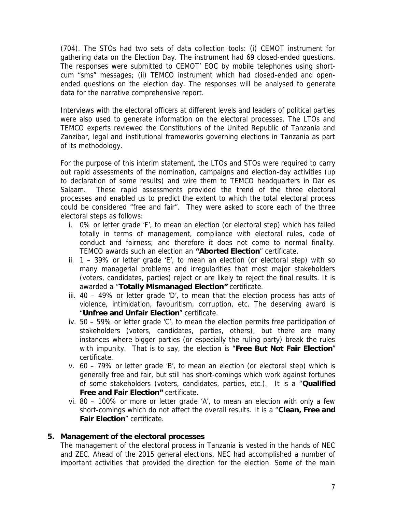(704). The STOs had two sets of data collection tools: (i) CEMOT instrument for gathering data on the Election Day. The instrument had 69 closed-ended questions. The responses were submitted to CEMOT' EOC by mobile telephones using short cum "sms" messages; (ii) TEMCO instrument which had closed-ended and open ended questions on the election day. The responses will be analysed to generate data for the narrative comprehensive report.

Interviews with the electoral officers at different levels and leaders of political parties were also used to generate information on the electoral processes. The LTOs and TEMCO experts reviewed the Constitutions of the United Republic of Tanzania and Zanzibar, legal and institutional frameworks governing elections in Tanzania as part of its methodology.

For the purpose of this interim statement, the LTOs and STOs were required to carry out rapid assessments of the nomination, campaigns and election-day activities (up to declaration of some results) and wire them to TEMCO headquarters in Dar es Salaam. These rapid assessments provided the trend of the three electoral processes and enabled us to predict the extent to which the total electoral process could be considered "*free and fair"*. They were asked to score each of the three electoral steps as follows:

- i. 0% or letter grade 'F', to mean an election (or electoral step) which has failed totally in terms of management, compliance with electoral rules, code of conduct and fairness; and therefore it does not come to normal finality. TEMCO awards such an election an **"***Aborted Election*" certificate.
- ii.  $1 39\%$  or letter grade 'E', to mean an election (or electoral step) with so many managerial problems and irregularities that most major stakeholders (voters, candidates, parties) reject or are likely to reject the final results. It is awarded a "*Totally Mismanaged Election"* certificate.
- iii. 40 49% or letter grade 'D', to mean that the election process has acts of violence, intimidation, favouritism, corruption, etc. The deserving award is "*Unfree and Unfair Election*" certificate.
- iv. 50 59% or letter grade 'C', to mean the election permits free participation of stakeholders (voters, candidates, parties, others), but there are many instances where bigger parties (or especially the ruling party) break the rules with impunity. That is to say, the election is "*Free But Not Fair Election*" certificate.
- v. 60 79% or letter grade 'B', to mean an election (or electoral step) which is generally free and fair, but still has short-comings which work against fortunes of some stakeholders (voters, candidates, parties, etc.). It is a "*Qualified Free and Fair Election"* certificate.
- vi. 80 100% or more or letter grade 'A', to mean an election with only a few short-comings which do not affect the overall results. It is a "*Clean, Free and Fair Election*" certificate.

# **5. Management of the electoral processes**

The management of the electoral process in Tanzania is vested in the hands of NEC and ZEC. Ahead of the 2015 general elections, NEC had accomplished a number of important activities that provided the direction for the election. Some of the main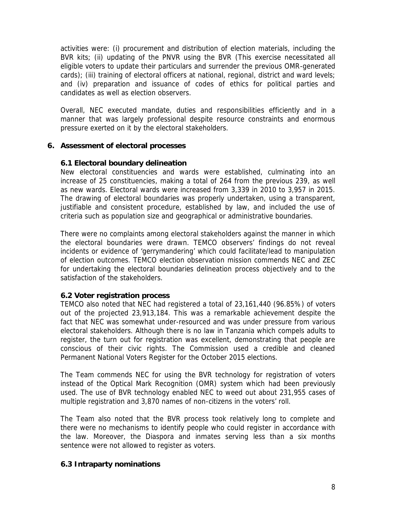activities were: (i) procurement and distribution of election materials, including the BVR kits; (ii) updating of the PNVR using the BVR (This exercise necessitated all eligible voters to update their particulars and surrender the previous OMR-generated cards); (iii) training of electoral officers at national, regional, district and ward levels; and (iv) preparation and issuance of codes of ethics for political parties and candidates as well as election observers.

Overall, NEC executed mandate, duties and responsibilities efficiently and in a manner that was largely professional despite resource constraints and enormous pressure exerted on it by the electoral stakeholders.

**6. Assessment of electoral processes**

#### **6.1 Electoral boundary delineation**

New electoral constituencies and wards were established, culminating into an increase of 25 constituencies, making a total of 264 from the previous 239, as well as new wards. Electoral wards were increased from 3,339 in 2010 to 3,957 in 2015. The drawing of electoral boundaries was properly undertaken, using a transparent, justifiable and consistent procedure, established by law, and included the use of criteria such as population size and geographical or administrative boundaries.

There were no complaints among electoral stakeholders against the manner in which the electoral boundaries were drawn. TEMCO observers' findings do not reveal incidents or evidence of 'gerrymandering' which could facilitate/lead to manipulation of election outcomes. TEMCO election observation mission commends NEC and ZEC for undertaking the electoral boundaries delineation process objectively and to the satisfaction of the stakeholders.

#### **6.2 Voter registration process**

TEMCO also noted that NEC had registered a total of 23,161,440 (96.85%) of voters out of the projected 23,913,184. This was a remarkable achievement despite the fact that NEC was somewhat under-resourced and was under pressure from various electoral stakeholders. Although there is no law in Tanzania which compels adults to register, the turn out for registration was excellent, demonstrating that people are conscious of their civic rights. The Commission used a credible and cleaned Permanent National Voters Register for the October 2015 elections.

The Team commends NEC for using the BVR technology for registration of voters instead of the Optical Mark Recognition (OMR) system which had been previously used. The use of BVR technology enabled NEC to weed out about 231,955 cases of multiple registration and 3,870 names of non-citizens in the voters' roll.

The Team also noted that the BVR process took relatively long to complete and there were no mechanisms to identify people who could register in accordance with the law. Moreover, the Diaspora and inmates serving less than a six months sentence were not allowed to register as voters.

#### **6.3 Intraparty nominations**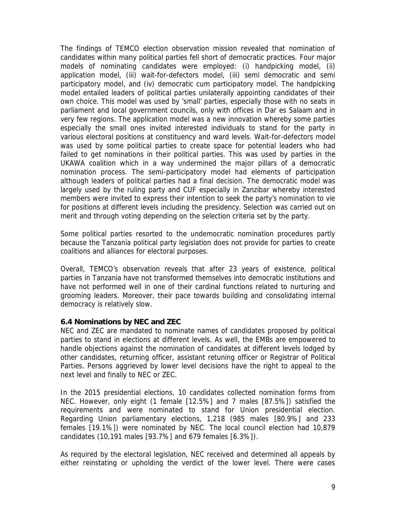The findings of TEMCO election observation mission revealed that nomination of candidates within many political parties fell short of democratic practices. Four major models of nominating candidates were employed: (i) handpicking model, (ii) application model, (iii) wait-for-defectors model, (iii) semi democratic and semi participatory model, and (iv) democratic cum participatory model. The handpicking model entailed leaders of political parties unilaterally appointing candidates of their own choice. This model was used by 'small' parties, especially those with no seats in parliament and local government councils, only with offices in Dar es Salaam and in very few regions. The application model was a new innovation whereby some parties especially the small ones invited interested individuals to stand for the party in various electoral positions at constituency and ward levels. Wait-for-defectors model was used by some political parties to create space for potential leaders who had failed to get nominations in their political parties. This was used by parties in the UKAWA coalition which in a way undermined the major pillars of a democratic nomination process. The semi-participatory model had elements of participation although leaders of political parties had a final decision. The democratic model was largely used by the ruling party and CUF especially in Zanzibar whereby interested members were invited to express their intention to seek the party's nomination to vie for positions at different levels including the presidency. Selection was carried out on merit and through voting depending on the selection criteria set by the party.

Some political parties resorted to the undemocratic nomination procedures partly because the Tanzania political party legislation does not provide for parties to create coalitions and alliances for electoral purposes.

Overall, TEMCO's observation reveals that after 23 years of existence, political parties in Tanzania have not transformed themselves into democratic institutions and have not performed well in one of their cardinal functions related to nurturing and grooming leaders. Moreover, their pace towards building and consolidating internal democracy is relatively slow.

#### **6.4 Nominations by NEC and ZEC**

NEC and ZEC are mandated to nominate names of candidates proposed by political parties to stand in elections at different levels. As well, the EMBs are empowered to handle objections against the nomination of candidates at different levels lodged by other candidates, returning officer, assistant retuning officer or Registrar of Political Parties. Persons aggrieved by lower level decisions have the right to appeal to the next level and finally to NEC or ZEC.

In the 2015 presidential elections, 10 candidates collected nomination forms from NEC. However, only eight (1 female [12.5%] and 7 males [87.5%]) satisfied the requirements and were nominated to stand for Union presidential election. Regarding Union parliamentary elections, 1,218 (985 males [80.9%] and 233 females [19.1%]) were nominated by NEC. The local council election had 10,879 candidates (10,191 males [93.7%] and 679 females [6.3%]).

As required by the electoral legislation, NEC received and determined all appeals by either reinstating or upholding the verdict of the lower level. There were cases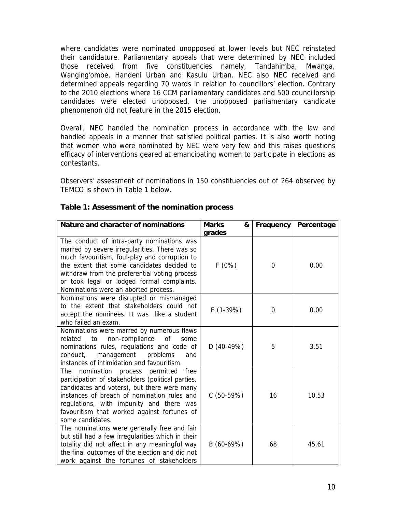where candidates were nominated unopposed at lower levels but NEC reinstated their candidature. Parliamentary appeals that were determined by NEC included those received from five constituencies namely, Tandahimba, Mwanga, Wanging'ombe, Handeni Urban and Kasulu Urban. NEC also NEC received and determined appeals regarding 70 wards in relation to councillors' election. Contrary to the 2010 elections where 16 CCM parliamentary candidates and 500 councillorship candidates were elected unopposed, the unopposed parliamentary candidate phenomenon did not feature in the 2015 election.

Overall, NEC handled the nomination process in accordance with the law and handled appeals in a manner that satisfied political parties. It is also worth noting that women who were nominated by NEC were very few and this raises questions efficacy of interventions geared at emancipating women to participate in elections as contestants.

Observers' assessment of nominations in 150 constituencies out of 264 observed by TEMCO is shown in Table 1 below.

| Nature and character of nominations                                                                                                                                                                                                                                                                                               | <b>Marks</b><br>&<br>grades | Frequency   | Percentage |
|-----------------------------------------------------------------------------------------------------------------------------------------------------------------------------------------------------------------------------------------------------------------------------------------------------------------------------------|-----------------------------|-------------|------------|
| The conduct of intra-party nominations was<br>marred by severe irregularities. There was so<br>much favouritism, foul-play and corruption to<br>the extent that some candidates decided to<br>withdraw from the preferential voting process<br>or took legal or lodged formal complaints.<br>Nominations were an aborted process. | F(0%)                       | $\mathbf 0$ | 0.00       |
| Nominations were disrupted or mismanaged<br>to the extent that stakeholders could not<br>accept the nominees. It was like a student<br>who failed an exam.                                                                                                                                                                        | $E(1-39%)$                  | $\mathbf 0$ | 0.00       |
| Nominations were marred by numerous flaws<br>non-compliance<br>related<br>of<br>to<br>some<br>nominations rules, regulations and code of<br>management<br>conduct,<br>problems<br>and<br>instances of intimidation and favouritism.                                                                                               | $D(40-49%)$                 | 5           | 3.51       |
| nomination process permitted<br><b>The</b><br>free<br>participation of stakeholders (political parties,<br>candidates and voters), but there were many<br>instances of breach of nomination rules and<br>regulations, with impunity and there was<br>favouritism that worked against fortunes of<br>some candidates.              | $C(50-59%)$                 | 16          | 10.53      |
| The nominations were generally free and fair<br>but still had a few irregularities which in their<br>totality did not affect in any meaningful way<br>the final outcomes of the election and did not<br>work against the fortunes of stakeholders                                                                                 | B (60-69%)                  | 68          | 45.61      |

**Table 1: Assessment of the nomination process**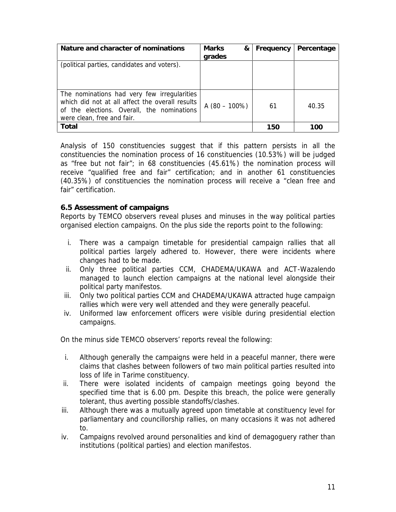| Nature and character of nominations                                                                                                                                        | <b>Marks</b><br>&<br>grades | Frequency | Percentage |
|----------------------------------------------------------------------------------------------------------------------------------------------------------------------------|-----------------------------|-----------|------------|
| (political parties, candidates and voters).                                                                                                                                |                             |           |            |
| The nominations had very few irregularities<br>which did not at all affect the overall results<br>of the elections. Overall, the nominations<br>were clean, free and fair. | A $(80 - 100\%)$            | 61        | 40.35      |
| Total                                                                                                                                                                      |                             | 150       | 100        |

Analysis of 150 constituencies suggest that if this pattern persists in all the constituencies the nomination process of 16 constituencies (10.53%) will be judged as "*free but not fair*"; in 68 constituencies (45.61%) the nomination process will receive "*qualified free and fair*" certification; and in another 61 constituencies (40.35%) of constituencies the nomination process will receive a "*clean free and fair*" certification.

#### **6.5 Assessment of campaigns**

Reports by TEMCO observers reveal pluses and minuses in the way political parties organised election campaigns. On the plus side the reports point to the following:

- i. There was a campaign timetable for presidential campaign rallies that all political parties largely adhered to. However, there were incidents where changes had to be made.
- ii. Only three political parties CCM, CHADEMA/UKAWA and ACT-Wazalendo managed to launch election campaigns at the national level alongside their political party manifestos.
- iii. Only two political parties CCM and CHADEMA/UKAWA attracted huge campaign rallies which were very well attended and they were generally peaceful.
- iv. Uniformed law enforcement officers were visible during presidential election campaigns.

On the minus side TEMCO observers' reports reveal the following:

- i. Although generally the campaigns were held in a peaceful manner, there were claims that clashes between followers of two main political parties resulted into loss of life in Tarime constituency.
- ii. There were isolated incidents of campaign meetings going beyond the specified time that is 6.00 pm. Despite this breach, the police were generally tolerant, thus averting possible standoffs/clashes.
- iii. Although there was a mutually agreed upon timetable at constituency level for parliamentary and councillorship rallies, on many occasions it was not adhered to.
- iv. Campaigns revolved around personalities and kind of demagoguery rather than institutions (political parties) and election manifestos.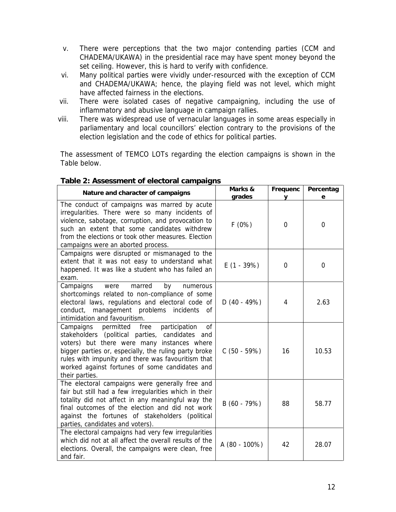- v. There were perceptions that the two major contending parties (CCM and CHADEMA/UKAWA) in the presidential race may have spent money beyond the set ceiling. However, this is hard to verify with confidence.
- vi. Many political parties were vividly under-resourced with the exception of CCM and CHADEMA/UKAWA; hence, the playing field was not level, which might have affected fairness in the elections.
- vii. There were isolated cases of negative campaigning, including the use of inflammatory and abusive language in campaign rallies.
- viii. There was widespread use of vernacular languages in some areas especially in parliamentary and local councillors' election contrary to the provisions of the election legislation and the code of ethics for political parties.

The assessment of TEMCO LOTs regarding the election campaigns is shown in the Table below.

| Nature and character of campaigns                                                                                                                                                                                                                                                                                                          | Marks &<br>grades | Frequenc<br>V  | Percentag<br>е |
|--------------------------------------------------------------------------------------------------------------------------------------------------------------------------------------------------------------------------------------------------------------------------------------------------------------------------------------------|-------------------|----------------|----------------|
| The conduct of campaigns was marred by acute<br>irregularities. There were so many incidents of<br>violence, sabotage, corruption, and provocation to<br>such an extent that some candidates withdrew<br>from the elections or took other measures. Election<br>campaigns were an aborted process.                                         | F(0%)             | $\Omega$       | $\overline{0}$ |
| Campaigns were disrupted or mismanaged to the<br>extent that it was not easy to understand what<br>happened. It was like a student who has failed an<br>exam.                                                                                                                                                                              | $E(1 - 39%)$      | $\overline{0}$ | $\mathbf 0$    |
| Campaigns<br>marred<br>by<br>were<br>numerous<br>shortcomings related to non-compliance of some<br>electoral laws, regulations and electoral code of<br>conduct, management problems incidents<br>of<br>intimidation and favouritism.                                                                                                      | $D(40 - 49%)$     | 4              | 2.63           |
| Campaigns<br>participation<br>0f<br>permitted<br>free<br>stakeholders (political parties, candidates and<br>voters) but there were many instances where<br>bigger parties or, especially, the ruling party broke<br>rules with impunity and there was favouritism that<br>worked against fortunes of some candidates and<br>their parties. | $C(50 - 59%)$     | 16             | 10.53          |
| The electoral campaigns were generally free and<br>fair but still had a few irregularities which in their<br>totality did not affect in any meaningful way the<br>final outcomes of the election and did not work<br>against the fortunes of stakeholders (political<br>parties, candidates and voters).                                   | $B(60 - 79%)$     | 88             | 58.77          |
| The electoral campaigns had very few irregularities<br>which did not at all affect the overall results of the<br>elections. Overall, the campaigns were clean, free<br>and fair.                                                                                                                                                           | A (80 - 100%)     | 42             | 28.07          |

#### **Table 2: Assessment of electoral campaigns**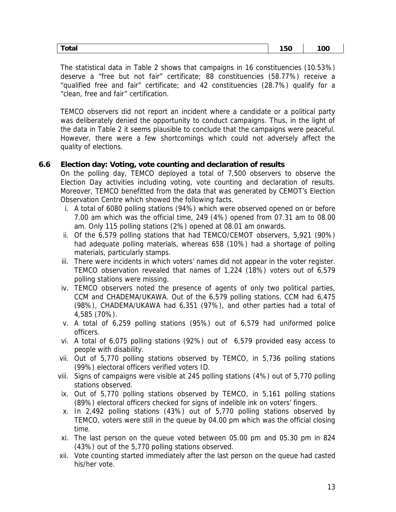| --<br>ldl<br>___ | <br>$\sim$<br>___ | $\cdot$<br>. .<br>____ |  |
|------------------|-------------------|------------------------|--|
|------------------|-------------------|------------------------|--|

The statistical data in Table 2 shows that campaigns in 16 constituencies (10.53%) deserve a "*free but not fair*" certificate; 88 constituencies (58.77%) receive a *"qualified free and fair"* certificate; and 42 constituencies (28.7%) qualify for a "*clean, free and fair*" certification.

TEMCO observers did not report an incident where a candidate or a political party was deliberately denied the opportunity to conduct campaigns. Thus, in the light of the data in Table 2 it seems plausible to conclude that the campaigns were peaceful. However, there were a few shortcomings which could not adversely affect the quality of elections.

**6.6 Election day: Voting, vote counting and declaration of results**

On the polling day, TEMCO deployed a total of 7,500 observers to observe the Election Day activities including voting, vote counting and declaration of results. Moreover, TEMCO benefitted from the data that was generated by CEMOT's Election Observation Centre which showed the following facts.

- i. A total of 6080 polling stations (94%) which were observed opened on or before 7.00 am which was the official time, 249 (4%) opened from 07.31 am to 08.00 am. Only 115 polling stations (2%) opened at 08.01 am onwards.
- ii. Of the 6,579 polling stations that had TEMCO/CEMOT observers, 5,921 (90%) had adequate polling materials, whereas 658 (10%) had a shortage of polling materials, particularly stamps.
- iii. There were incidents in which voters' names did not appear in the voter register. TEMCO observation revealed that names of 1,224 (18%) voters out of 6,579 polling stations were missing.
- iv. TEMCO observers noted the presence of agents of only two political parties, CCM and CHADEMA/UKAWA. Out of the 6,579 polling stations, CCM had 6,475 (98%), CHADEMA/UKAWA had 6,351 (97%), and other parties had a total of 4,585 (70%).
- v. A total of 6,259 polling stations (95%) out of 6,579 had uniformed police officers.
- vi. A total of 6,075 polling stations (92%) out of 6,579 provided easy access to people with disability.
- vii. Out of 5,770 polling stations observed by TEMCO, in 5,736 polling stations (99%) electoral officers verified voters ID.
- viii. Signs of campaigns were visible at 245 polling stations (4%) out of 5,770 polling stations observed.
- ix. Out of 5,770 polling stations observed by TEMCO, in 5,161 polling stations (89%) electoral officers checked for signs of indelible ink on voters' fingers.
- x. In 2,492 polling stations (43%) out of 5,770 polling stations observed by TEMCO, voters were still in the queue by 04.00 pm which was the official closing time.
- xi. The last person on the queue voted between 05.00 pm and 05.30 pm in 824 (43%) out of the 5,770 polling stations observed.
- xii. Vote counting started immediately after the last person on the queue had casted his/her vote.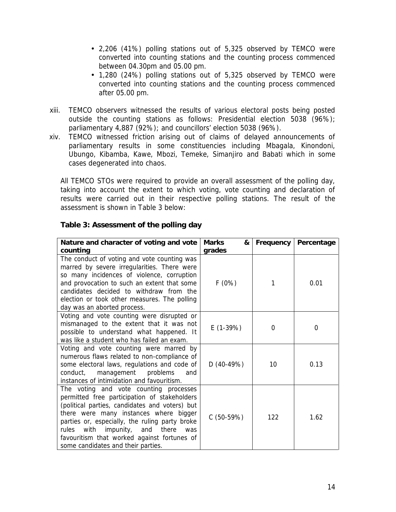- 2,206 (41%) polling stations out of 5,325 observed by TEMCO were converted into counting stations and the counting process commenced between 04.30pm and 05.00 pm.
- 1,280 (24%) polling stations out of 5,325 observed by TEMCO were converted into counting stations and the counting process commenced after 05.00 pm.
- xiii. TEMCO observers witnessed the results of various electoral posts being posted outside the counting stations as follows: Presidential election 5038 (96%); parliamentary 4,887 (92%); and councillors' election 5038 (96%).
- xiv. TEMCO witnessed friction arising out of claims of delayed announcements of parliamentary results in some constituencies including Mbagala, Kinondoni, Ubungo, Kibamba, Kawe, Mbozi, Temeke, Simanjiro and Babati which in some cases degenerated into chaos.

All TEMCO STOs were required to provide an overall assessment of the polling day, taking into account the extent to which voting, vote counting and declaration of results were carried out in their respective polling stations. The result of the assessment is shown in Table 3 below:

| Nature and character of voting and vote<br>counting                                                                                                                                                                                                                                                                                                                | Marks<br>&<br>grades | Frequency   | Percentage |
|--------------------------------------------------------------------------------------------------------------------------------------------------------------------------------------------------------------------------------------------------------------------------------------------------------------------------------------------------------------------|----------------------|-------------|------------|
| The conduct of voting and vote counting was<br>marred by severe irregularities. There were<br>so many incidences of violence, corruption<br>and provocation to such an extent that some<br>candidates decided to withdraw from the<br>election or took other measures. The polling<br>day was an aborted process.                                                  | F(0%)                | 1           | 0.01       |
| Voting and vote counting were disrupted or<br>mismanaged to the extent that it was not<br>possible to understand what happened. It<br>was like a student who has failed an exam.                                                                                                                                                                                   | $E(1-39%)$           | $\mathbf 0$ | 0          |
| Voting and vote counting were marred by<br>numerous flaws related to non-compliance of<br>some electoral laws, regulations and code of<br>management<br>problems<br>and<br>conduct,<br>instances of intimidation and favouritism.                                                                                                                                  | $D(40-49%)$          | 10          | 0.13       |
| The voting and vote counting processes<br>permitted free participation of stakeholders<br>(political parties, candidates and voters) but<br>there were many instances where bigger<br>parties or, especially, the ruling party broke<br>rules with impunity, and there<br>was<br>favouritism that worked against fortunes of<br>some candidates and their parties. | $C(50-59%)$          | 122         | 1.62       |

**Table 3: Assessment of the polling day**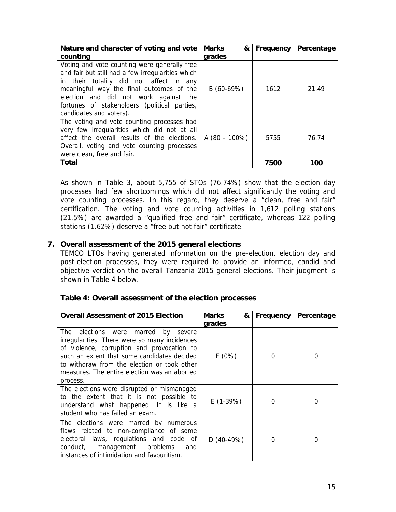| Nature and character of voting and vote<br>counting                                                                                                                                                                                                                                                          | Marks<br>&<br>grades | Frequency | Percentage |
|--------------------------------------------------------------------------------------------------------------------------------------------------------------------------------------------------------------------------------------------------------------------------------------------------------------|----------------------|-----------|------------|
| Voting and vote counting were generally free<br>and fair but still had a few irregularities which<br>in their totality did not affect in any<br>meaningful way the final outcomes of the<br>election and did not work against the<br>fortunes of stakeholders (political parties,<br>candidates and voters). | $B(60-69%)$          | 1612      | 21.49      |
| The voting and vote counting processes had<br>very few irregularities which did not at all<br>affect the overall results of the elections.<br>Overall, voting and vote counting processes<br>were clean, free and fair.                                                                                      | A $(80 - 100\%)$     | 5755      | 76.74      |
| Total                                                                                                                                                                                                                                                                                                        |                      | 7500      | 100        |

As shown in Table 3, about 5,755 of STOs (76.74%) show that the election day processes had few shortcomings which did not affect significantly the voting and vote counting processes. In this regard, they deserve a "*clean, free and fair*" certification. The voting and vote counting activities in 1,612 polling stations (21.5%) are awarded a "*qualified free and fair*" certificate, whereas 122 polling stations (1.62%) deserve a "*free but not fair*" certificate.

**7. Overall assessment of the 2015 general elections**

TEMCO LTOs having generated information on the pre-election, election day and post-election processes, they were required to provide an informed, candid and objective verdict on the overall Tanzania 2015 general elections. Their judgment is shown in Table 4 below.

| Table 4: Overall assessment of the election processes |  |
|-------------------------------------------------------|--|
|-------------------------------------------------------|--|

| Overall Assessment of 2015 Election                                                                                                                                                                                                                                                                   | <b>Marks</b><br>&<br>grades | Frequency   | Percentage |
|-------------------------------------------------------------------------------------------------------------------------------------------------------------------------------------------------------------------------------------------------------------------------------------------------------|-----------------------------|-------------|------------|
| elections were marred<br>The<br>by<br>severe<br>irregularities. There were so many incidences<br>of violence, corruption and provocation to<br>such an extent that some candidates decided<br>to withdraw from the election or took other<br>measures. The entire election was an aborted<br>process. | F(0%)                       | $\mathbf 0$ | 0          |
| The elections were disrupted or mismanaged<br>to the extent that it is not possible to<br>understand what happened. It is like a<br>student who has failed an exam.                                                                                                                                   | $E(1-39%)$                  | $\mathbf 0$ | 0          |
| The elections were marred by numerous<br>flaws related to non-compliance of some<br>laws, regulations and code of<br>electoral<br>conduct,<br>management<br>problems<br>and<br>instances of intimidation and favouritism.                                                                             | $D(40-49%)$                 | $\mathbf 0$ | 0          |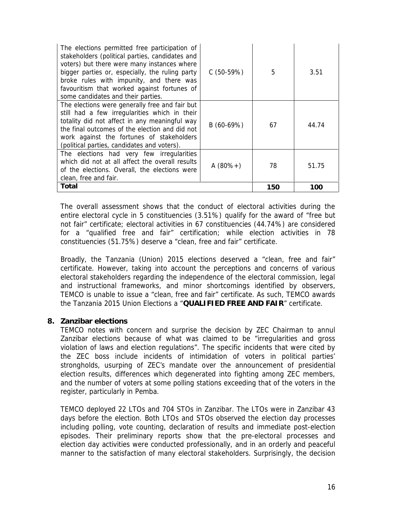| The elections permitted free participation of<br>stakeholders (political parties, candidates and<br>voters) but there were many instances where<br>bigger parties or, especially, the ruling party<br>broke rules with impunity, and there was<br>favouritism that worked against fortunes of<br>some candidates and their parties. | $C(50-59%)$   | 5   | 3.51  |  |
|-------------------------------------------------------------------------------------------------------------------------------------------------------------------------------------------------------------------------------------------------------------------------------------------------------------------------------------|---------------|-----|-------|--|
| The elections were generally free and fair but<br>still had a few irregularities which in their<br>totality did not affect in any meaningful way<br>the final outcomes of the election and did not<br>work against the fortunes of stakeholders<br>(political parties, candidates and voters).                                      | $B(60-69%)$   | 67  | 44.74 |  |
| The elections had very few irregularities<br>which did not at all affect the overall results<br>of the elections. Overall, the elections were<br>clean, free and fair.                                                                                                                                                              | A $(80\% + )$ | 78  | 51.75 |  |
| Total                                                                                                                                                                                                                                                                                                                               |               | 150 | 100   |  |

The overall assessment shows that the conduct of electoral activities during the entire electoral cycle in 5 constituencies (3.51%) qualify for the award of "*free but not fair*" certificate; electoral activities in 67 constituencies (44.74%) are considered for a "*qualified free and fair*" certification; while election activities in 78 constituencies (51.75%) deserve a "*clean, free and fair*" certificate.

Broadly, the Tanzania (Union) 2015 elections deserved a "*clean, free and fair*" certificate. However, taking into account the perceptions and concerns of various electoral stakeholders regarding the independence of the electoral commission, legal and instructional frameworks, and minor shortcomings identified by observers, TEMCO is unable to issue a "*clean, free and fair*" certificate. As such, TEMCO awards the Tanzania 2015 Union Elections a "*QUALIFIED FREE AND FAIR*" certificate.

**8. Zanzibar elections**

TEMCO notes with concern and surprise the decision by ZEC Chairman to annul Zanzibar elections because of what was claimed to be "irregularities and gross violation of laws and election regulations". The specific incidents that were cited by the ZEC boss include incidents of intimidation of voters in political parties' strongholds, usurping of ZEC's mandate over the announcement of presidential election results, differences which degenerated into fighting among ZEC members, and the number of voters at some polling stations exceeding that of the voters in the register, particularly in Pemba.

TEMCO deployed 22 LTOs and 704 STOs in Zanzibar. The LTOs were in Zanzibar 43 days before the election. Both LTOs and STOs observed the election day processes including polling, vote counting, declaration of results and immediate post-election episodes. Their preliminary reports show that the pre-electoral processes and election day activities were conducted professionally, and in an orderly and peaceful manner to the satisfaction of many electoral stakeholders. Surprisingly, the decision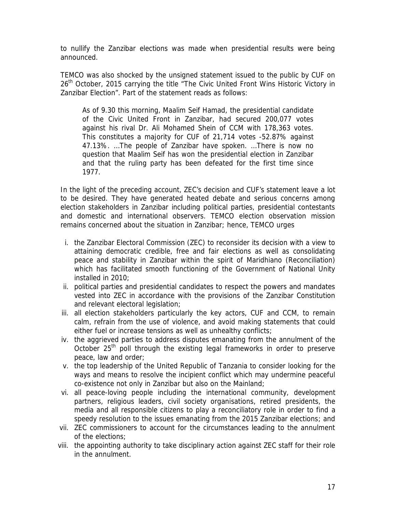to nullify the Zanzibar elections was made when presidential results were being announced.

TEMCO was also shocked by the unsigned statement issued to the public by CUF on 26<sup>th</sup> October, 2015 carrying the title "The Civic United Front Wins Historic Victory in Zanzibar Election". Part of the statement reads as follows:

*As of 9.30 this morning, Maalim Seif Hamad, the presidential candidate of the Civic United Front in Zanzibar, had secured 200,077 votes against his rival Dr. Ali Mohamed Shein of CCM with 178,363 votes. This constitutes a majority for CUF of 21,714 votes -52.87% against 47.13%. …The people of Zanzibar have spoken. …There is now no question that Maalim Seif has won the presidential election in Zanzibar and that the ruling party has been defeated for the first time since 1977.*

In the light of the preceding account, ZEC's decision and CUF's statement leave a lot to be desired. They have generated heated debate and serious concerns among election stakeholders in Zanzibar including political parties, presidential contestants and domestic and international observers. TEMCO election observation mission remains concerned about the situation in Zanzibar; hence, TEMCO urges

- i. the Zanzibar Electoral Commission (ZEC) to reconsider its decision with a view to attaining democratic credible, free and fair elections as well as consolidating peace and stability in Zanzibar within the spirit of *Maridhiano* (Reconciliation) which has facilitated smooth functioning of the Government of National Unity installed in 2010;
- ii. political parties and presidential candidates to respect the powers and mandates vested into ZEC in accordance with the provisions of the Zanzibar Constitution and relevant electoral legislation;
- iii. all election stakeholders particularly the key actors, CUF and CCM, to remain calm, refrain from the use of violence, and avoid making statements that could either fuel or increase tensions as well as unhealthy conflicts;
- iv. the aggrieved parties to address disputes emanating from the annulment of the October  $25<sup>th</sup>$  poll through the existing legal frameworks in order to preserve peace, law and order;
- v. the top leadership of the United Republic of Tanzania to consider looking for the ways and means to resolve the incipient conflict which may undermine peaceful co-existence not only in Zanzibar but also on the Mainland;
- vi. all peace-loving people including the international community, development partners, religious leaders, civil society organisations, retired presidents, the media and all responsible citizens to play a reconciliatory role in order to find a speedy resolution to the issues emanating from the 2015 Zanzibar elections; and
- vii. ZEC commissioners to account for the circumstances leading to the annulment of the elections;
- viii. the appointing authority to take disciplinary action against ZEC staff for their role in the annulment.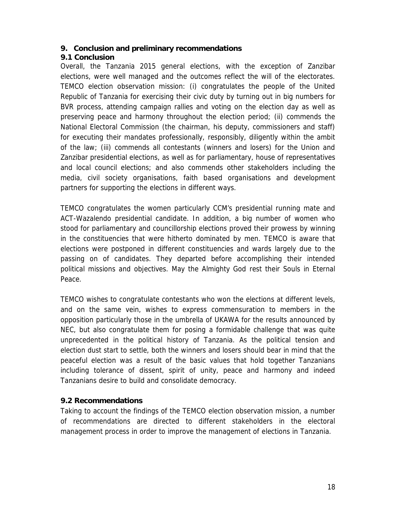# **9. Conclusion and preliminary recommendations**

**9.1 Conclusion**

Overall, the Tanzania 2015 general elections, with the exception of Zanzibar elections, were well managed and the outcomes reflect the will of the electorates. TEMCO election observation mission: (i) congratulates the people of the United Republic of Tanzania for exercising their civic duty by turning out in big numbers for BVR process, attending campaign rallies and voting on the election day as well as preserving peace and harmony throughout the election period; (ii) commends the National Electoral Commission (the chairman, his deputy, commissioners and staff) for executing their mandates professionally, responsibly, diligently within the ambit of the law; (iii) commends all contestants (winners and losers) for the Union and Zanzibar presidential elections, as well as for parliamentary, house of representatives and local council elections; and also commends other stakeholders including the media, civil society organisations, faith based organisations and development partners for supporting the elections in different ways.

TEMCO congratulates the women particularly CCM's presidential running mate and ACT-Wazalendo presidential candidate. In addition, a big number of women who stood for parliamentary and councillorship elections proved their prowess by winning in the constituencies that were hitherto dominated by men. TEMCO is aware that elections were postponed in different constituencies and wards largely due to the passing on of candidates. They departed before accomplishing their intended political missions and objectives. May the Almighty God rest their Souls in Eternal Peace.

TEMCO wishes to congratulate contestants who won the elections at different levels, and on the same vein, wishes to express commensuration to members in the opposition particularly those in the umbrella of UKAWA for the results announced by NEC, but also congratulate them for posing a formidable challenge that was quite unprecedented in the political history of Tanzania. As the political tension and election dust start to settle, both the winners and losers should bear in mind that the peaceful election was a result of the basic values that hold together Tanzanians including tolerance of dissent, spirit of unity, peace and harmony and indeed Tanzanians desire to build and consolidate democracy.

# **9.2 Recommendations**

Taking to account the findings of the TEMCO election observation mission, a number of recommendations are directed to different stakeholders in the electoral management process in order to improve the management of elections in Tanzania.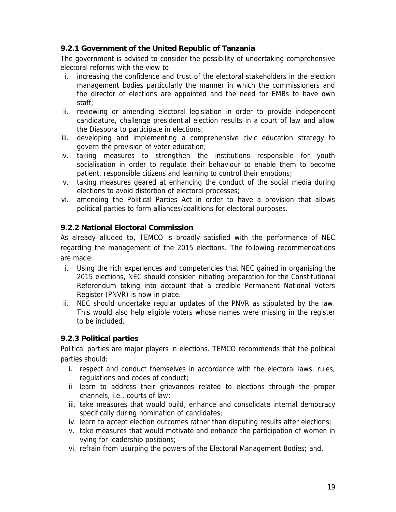# **9.2.1 Government of the United Republic of Tanzania**

The government is advised to consider the possibility of undertaking comprehensive electoral reforms with the view to:

- i. increasing the confidence and trust of the electoral stakeholders in the election management bodies particularly the manner in which the commissioners and the director of elections are appointed and the need for EMBs to have own staff;
- ii. reviewing or amending electoral legislation in order to provide independent candidature, challenge presidential election results in a court of law and allow the Diaspora to participate in elections;
- iii. developing and implementing a comprehensive civic education strategy to govern the provision of voter education;
- iv. taking measures to strengthen the institutions responsible for youth socialisation in order to regulate their behaviour to enable them to become patient, responsible citizens and learning to control their emotions;
- v. taking measures geared at enhancing the conduct of the social media during elections to avoid distortion of electoral processes;
- vi. amending the Political Parties Act in order to have a provision that allows political parties to form alliances/coalitions for electoral purposes.

# **9.2.2 National Electoral Commission**

As already alluded to, TEMCO is broadly satisfied with the performance of NEC regarding the management of the 2015 elections. The following recommendations are made:

- i. Using the rich experiences and competencies that NEC gained in organising the 2015 elections, NEC should consider initiating preparation for the Constitutional Referendum taking into account that a credible Permanent National Voters Register (PNVR) is now in place.
- ii. NEC should undertake regular updates of the PNVR as stipulated by the law. This would also help eligible voters whose names were missing in the register to be included.

# **9.2.3 Political parties**

Political parties are major players in elections. TEMCO recommends that the political parties should:

- i. respect and conduct themselves in accordance with the electoral laws, rules, regulations and codes of conduct;
- ii. learn to address their grievances related to elections through the proper channels, i.e., courts of law;
- iii. take measures that would build, enhance and consolidate internal democracy specifically during nomination of candidates;
- iv. learn to accept election outcomes rather than disputing results after elections;
- v. take measures that would motivate and enhance the participation of women in vying for leadership positions;
- vi. refrain from usurping the powers of the Electoral Management Bodies; and,